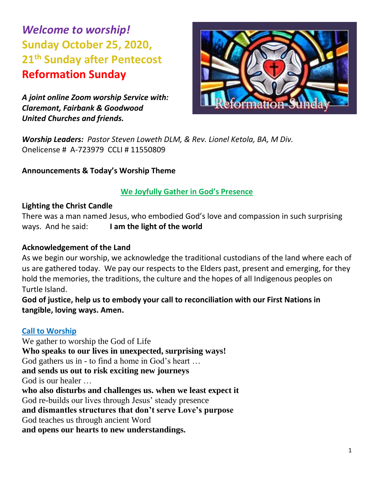# *Welcome to worship!* **Sunday October 25, 2020, 21th Sunday after Pentecost Reformation Sunday**

*A joint online Zoom worship Service with: Claremont, Fairbank & Goodwood United Churches and friends.* 



*Worship Leaders: Pastor Steven Loweth DLM, & Rev. Lionel Ketola, BA, M Div.*  Onelicense # A-723979 CCLI # 11550809

### **Announcements & Today's Worship Theme**

#### **We Joyfully Gather in God's Presence**

#### **Lighting the Christ Candle**

There was a man named Jesus, who embodied God's love and compassion in such surprising ways. And he said: **I am the light of the world** 

#### **Acknowledgement of the Land**

As we begin our worship, we acknowledge the traditional custodians of the land where each of us are gathered today. We pay our respects to the Elders past, present and emerging, for they hold the memories, the traditions, the culture and the hopes of all Indigenous peoples on Turtle Island.

**God of justice, help us to embody your call to reconciliation with our First Nations in tangible, loving ways. Amen.** 

#### **Call to Worship**

We gather to worship the God of Life **Who speaks to our lives in unexpected, surprising ways!**  God gathers us in - to find a home in God's heart … **and sends us out to risk exciting new journeys** God is our healer … **who also disturbs and challenges us. when we least expect it** God re-builds our lives through Jesus' steady presence **and dismantles structures that don't serve Love's purpose** God teaches us through ancient Word **and opens our hearts to new understandings.**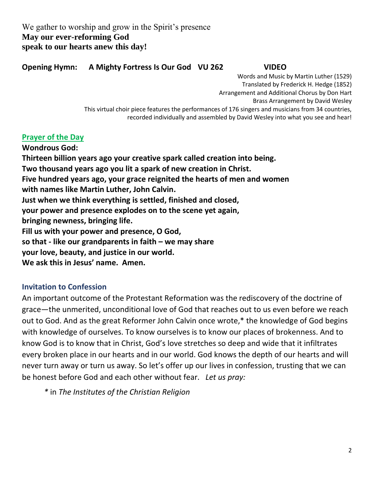We gather to worship and grow in the Spirit's presence **May our ever-reforming God speak to our hearts anew this day!** 

#### **Opening Hymn: A Mighty Fortress Is Our God VU 262 VIDEO**

Words and Music by Martin Luther (1529) Translated by Frederick H. Hedge (1852) Arrangement and Additional Chorus by Don Hart Brass Arrangement by David Wesley This virtual choir piece features the performances of 176 singers and musicians from 34 countries, recorded individually and assembled by David Wesley into what you see and hear!

#### **Prayer of the Day**

**Wondrous God: Thirteen billion years ago your creative spark called creation into being. Two thousand years ago you lit a spark of new creation in Christ. Five hundred years ago, your grace reignited the hearts of men and women with names like Martin Luther, John Calvin. Just when we think everything is settled, finished and closed, your power and presence explodes on to the scene yet again, bringing newness, bringing life. Fill us with your power and presence, O God, so that - like our grandparents in faith – we may share your love, beauty, and justice in our world. We ask this in Jesus' name. Amen.** 

### **Invitation to Confession**

An important outcome of the Protestant Reformation was the rediscovery of the doctrine of grace—the unmerited, unconditional love of God that reaches out to us even before we reach out to God. And as the great Reformer John Calvin once wrote,\* the knowledge of God begins with knowledge of ourselves. To know ourselves is to know our places of brokenness. And to know God is to know that in Christ, God's love stretches so deep and wide that it infiltrates every broken place in our hearts and in our world. God knows the depth of our hearts and will never turn away or turn us away. So let's offer up our lives in confession, trusting that we can be honest before God and each other without fear. *Let us pray:*

*\** in *The Institutes of the Christian Religion*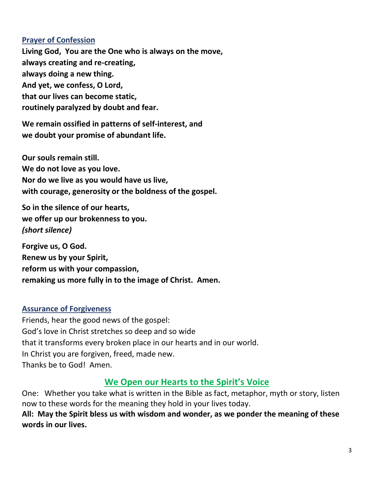### **Prayer of Confession**

**Living God, You are the One who is always on the move, always creating and re-creating, always doing a new thing. And yet, we confess, O Lord, that our lives can become static, routinely paralyzed by doubt and fear.**

**We remain ossified in patterns of self-interest, and we doubt your promise of abundant life.**

**Our souls remain still. We do not love as you love. Nor do we live as you would have us live, with courage, generosity or the boldness of the gospel.** 

**So in the silence of our hearts, we offer up our brokenness to you.** *(short silence)*

**Forgive us, O God. Renew us by your Spirit, reform us with your compassion, remaking us more fully in to the image of Christ. Amen.**

### **Assurance of Forgiveness**

Friends, hear the good news of the gospel: God's love in Christ stretches so deep and so wide that it transforms every broken place in our hearts and in our world. In Christ you are forgiven, freed, made new. Thanks be to God! Amen.

### **We Open our Hearts to the Spirit's Voice**

One: Whether you take what is written in the Bible as fact, metaphor, myth or story, listen now to these words for the meaning they hold in your lives today.

**All: May the Spirit bless us with wisdom and wonder, as we ponder the meaning of these words in our lives.**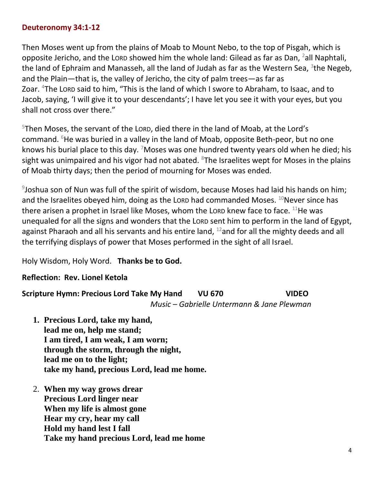#### **Deuteronomy 34:1-12**

Then Moses went up from the plains of Moab to Mount Nebo, to the top of Pisgah, which is opposite Jericho, and the LORD showed him the whole land: Gilead as far as Dan,  $^2$ all Naphtali, the land of Ephraim and Manasseh, all the land of Judah as far as the Western Sea, <sup>3</sup>the Negeb, and the Plain—that is, the valley of Jericho, the city of palm trees—as far as Zoar. <sup>4</sup>The LORD said to him, "This is the land of which I swore to Abraham, to Isaac, and to Jacob, saying, 'I will give it to your descendants'; I have let you see it with your eyes, but you shall not cross over there."

<sup>5</sup>Then Moses, the servant of the LORD, died there in the land of Moab, at the Lord's command. <sup>6</sup>He was buried in a valley in the land of Moab, opposite Beth-peor, but no one knows his burial place to this day.  $7$  Moses was one hundred twenty years old when he died; his sight was unimpaired and his vigor had not abated.  $8$ The Israelites wept for Moses in the plains of Moab thirty days; then the period of mourning for Moses was ended.

 $9$ Joshua son of Nun was full of the spirit of wisdom, because Moses had laid his hands on him; and the Israelites obeyed him, doing as the Lord had commanded Moses.  $^{10}$ Never since has there arisen a prophet in Israel like Moses, whom the Loro knew face to face.  $^{11}$ He was unequaled for all the signs and wonders that the LORD sent him to perform in the land of Egypt, against Pharaoh and all his servants and his entire land,  $^{12}$  and for all the mighty deeds and all the terrifying displays of power that Moses performed in the sight of all Israel.

Holy Wisdom, Holy Word. **Thanks be to God.** 

**Reflection: Rev. Lionel Ketola** 

**Scripture Hymn: Precious Lord Take My Hand VU 670 VIDEO**  *Music – Gabrielle Untermann & Jane Plewman*

- **1. Precious Lord, take my hand, lead me on, help me stand; I am tired, I am weak, I am worn; through the storm, through the night, lead me on to the light; take my hand, precious Lord, lead me home.**
- 2. **When my way grows drear Precious Lord linger near When my life is almost gone Hear my cry, hear my call Hold my hand lest I fall Take my hand precious Lord, lead me home**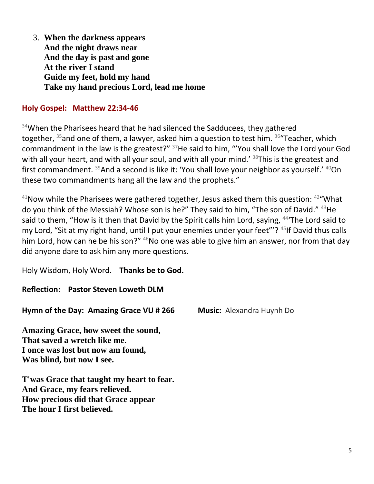3. **When the darkness appears And the night draws near And the day is past and gone At the river I stand Guide my feet, hold my hand Take my hand precious Lord, lead me home**

#### **Holy Gospel: Matthew 22:34-46**

 $34$ When the Pharisees heard that he had silenced the Sadducees, they gathered together,  $35$  and one of them, a lawyer, asked him a question to test him.  $36$  "Teacher, which commandment in the law is the greatest?" <sup>37</sup>He said to him, "'You shall love the Lord your God with all your heart, and with all your soul, and with all your mind.' <sup>38</sup>This is the greatest and first commandment.  $39$ And a second is like it: 'You shall love your neighbor as yourself.'  $40$ On these two commandments hang all the law and the prophets."

 $41$ Now while the Pharisees were gathered together, Jesus asked them this question:  $42$  "What do you think of the Messiah? Whose son is he?" They said to him, "The son of David." <sup>43</sup>He said to them, "How is it then that David by the Spirit calls him Lord, saying, <sup>44</sup> The Lord said to my Lord, "Sit at my right hand, until I put your enemies under your feet"'? <sup>45</sup>If David thus calls him Lord, how can he be his son?"  $46$ No one was able to give him an answer, nor from that day did anyone dare to ask him any more questions.

Holy Wisdom, Holy Word. **Thanks be to God.**

**Reflection: Pastor Steven Loweth DLM** 

**Hymn of the Day: Amazing Grace VU # 266 Music:** Alexandra Huynh Do

**Amazing Grace, how sweet the sound, That saved a wretch like me. I once was lost but now am found, Was blind, but now I see.**

**T'was Grace that taught my heart to fear. And Grace, my fears relieved. How precious did that Grace appear The hour I first believed.**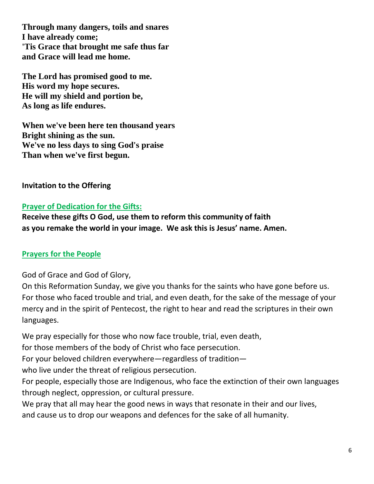**Through many dangers, toils and snares I have already come; 'Tis Grace that brought me safe thus far and Grace will lead me home.**

**The Lord has promised good to me. His word my hope secures. He will my shield and portion be, As long as life endures.**

**When we've been here ten thousand years Bright shining as the sun. We've no less days to sing God's praise Than when we've first begun.**

**Invitation to the Offering** 

### **Prayer of Dedication for the Gifts:**

**Receive these gifts O God, use them to reform this community of faith as you remake the world in your image. We ask this is Jesus' name. Amen.**

### **Prayers for the People**

God of Grace and God of Glory,

On this Reformation Sunday, we give you thanks for the saints who have gone before us. For those who faced trouble and trial, and even death, for the sake of the message of your mercy and in the spirit of Pentecost, the right to hear and read the scriptures in their own languages.

We pray especially for those who now face trouble, trial, even death,

for those members of the body of Christ who face persecution.

For your beloved children everywhere—regardless of tradition—

who live under the threat of religious persecution.

For people, especially those are Indigenous, who face the extinction of their own languages through neglect, oppression, or cultural pressure.

We pray that all may hear the good news in ways that resonate in their and our lives,

and cause us to drop our weapons and defences for the sake of all humanity.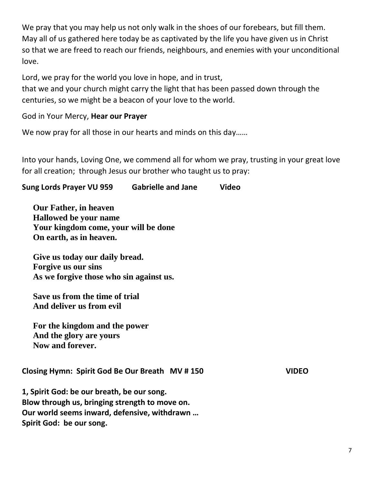We pray that you may help us not only walk in the shoes of our forebears, but fill them. May all of us gathered here today be as captivated by the life you have given us in Christ so that we are freed to reach our friends, neighbours, and enemies with your unconditional love.

Lord, we pray for the world you love in hope, and in trust,

that we and your church might carry the light that has been passed down through the centuries, so we might be a beacon of your love to the world.

God in Your Mercy, **Hear our Prayer**

We now pray for all those in our hearts and minds on this day......

Into your hands, Loving One, we commend all for whom we pray, trusting in your great love for all creation; through Jesus our brother who taught us to pray:

| <b>Sung Lords Prayer VU 959</b>                | <b>Gabrielle and Jane</b> | <b>Video</b> |              |
|------------------------------------------------|---------------------------|--------------|--------------|
| <b>Our Father, in heaven</b>                   |                           |              |              |
| <b>Hallowed be your name</b>                   |                           |              |              |
| Your kingdom come, your will be done           |                           |              |              |
| On earth, as in heaven.                        |                           |              |              |
| Give us today our daily bread.                 |                           |              |              |
| Forgive us our sins                            |                           |              |              |
| As we forgive those who sin against us.        |                           |              |              |
| Save us from the time of trial                 |                           |              |              |
| And deliver us from evil                       |                           |              |              |
| For the kingdom and the power                  |                           |              |              |
| And the glory are yours                        |                           |              |              |
| Now and forever.                               |                           |              |              |
| Closing Hymn: Spirit God Be Our Breath MV #150 |                           |              | <b>VIDEO</b> |
| 1, Spirit God: be our breath, be our song.     |                           |              |              |
| Blow through us, bringing strength to move on. |                           |              |              |
| Our world seems inward, defensive, withdrawn   |                           |              |              |
| Spirit God: be our song.                       |                           |              |              |
|                                                |                           |              |              |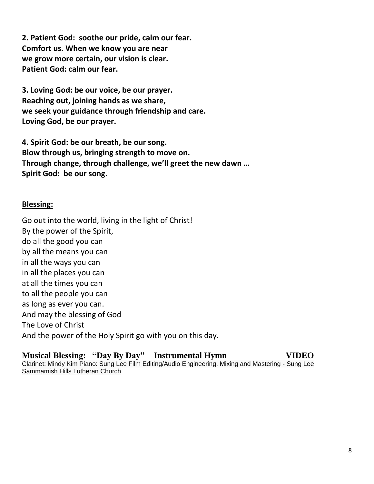**2. Patient God: soothe our pride, calm our fear. Comfort us. When we know you are near we grow more certain, our vision is clear. Patient God: calm our fear.** 

**3. Loving God: be our voice, be our prayer. Reaching out, joining hands as we share, we seek your guidance through friendship and care. Loving God, be our prayer.** 

**4. Spirit God: be our breath, be our song. Blow through us, bringing strength to move on. Through change, through challenge, we'll greet the new dawn … Spirit God: be our song.** 

#### **Blessing:**

Go out into the world, living in the light of Christ! By the power of the Spirit, do all the good you can by all the means you can in all the ways you can in all the places you can at all the times you can to all the people you can as long as ever you can. And may the blessing of God The Love of Christ And the power of the Holy Spirit go with you on this day.

**Musical Blessing: "Day By Day" Instrumental Hymn VIDEO** Clarinet: Mindy Kim Piano: Sung Lee Film Editing/Audio Engineering, Mixing and Mastering - Sung Lee Sammamish Hills Lutheran Church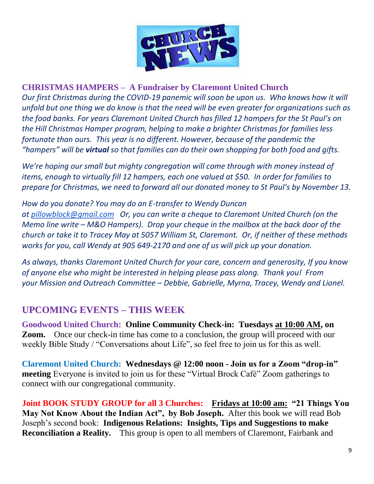

### **CHRISTMAS HAMPERS – A Fundraiser by Claremont United Church**

*Our first Christmas during the COVID-19 panemic will soon be upon us. Who knows how it will unfold but one thing we do know is that the need will be even greater for organizations such as the food banks. For years Claremont United Church has filled 12 hampers for the St Paul's on the Hill Christmas Hamper program, helping to make a brighter Christmas for families less fortunate than ours. This year is no different. However, because of the pandemic the "hampers" will be virtual so that families can do their own shopping for both food and gifts.*

We're hoping our small but mighty congregation will come through with money instead of *items, enough to virtually fill 12 hampers, each one valued at \$50. In order for families to prepare for Christmas, we need to forward all our donated money to St Paul's by November 13.*

*How do you donate? You may do an E-transfer to Wendy Duncan at [pillowblock@gmail.com](mailto:pillowblock@gmail.com) Or, you can write a cheque to Claremont United Church (on the Memo line write – M&O Hampers). Drop your cheque in the mailbox at the back door of the church or take it to Tracey May at 5057 William St, Claremont. Or, if neither of these methods works for you, call Wendy at 905 649-2170 and one of us will pick up your donation.*

*As always, thanks Claremont United Church for your care, concern and generosity, If you know of anyone else who might be interested in helping please pass along. Thank you! From your Mission and Outreach Committee – Debbie, Gabrielle, Myrna, Tracey, Wendy and Lionel.*

### **UPCOMING EVENTS – THIS WEEK**

**Goodwood United Church: Online Community Check-in: Tuesdays at 10:00 AM, on Zoom.** Once our check-in time has come to a conclusion, the group will proceed with our weekly Bible Study / "Conversations about Life", so feel free to join us for this as well.

**Claremont United Church: Wednesdays @ 12:00 noon - Join us for a Zoom "drop-in" meeting** Everyone is invited to join us for these "Virtual Brock Café" Zoom gatherings to connect with our congregational community.

**Joint BOOK STUDY GROUP for all 3 Churches: Fridays at 10:00 am: "21 Things You May Not Know About the Indian Act", by Bob Joseph.** After this book we will read Bob Joseph's second book: **Indigenous Relations: Insights, Tips and Suggestions to make Reconciliation a Reality.** This group is open to all members of Claremont, Fairbank and